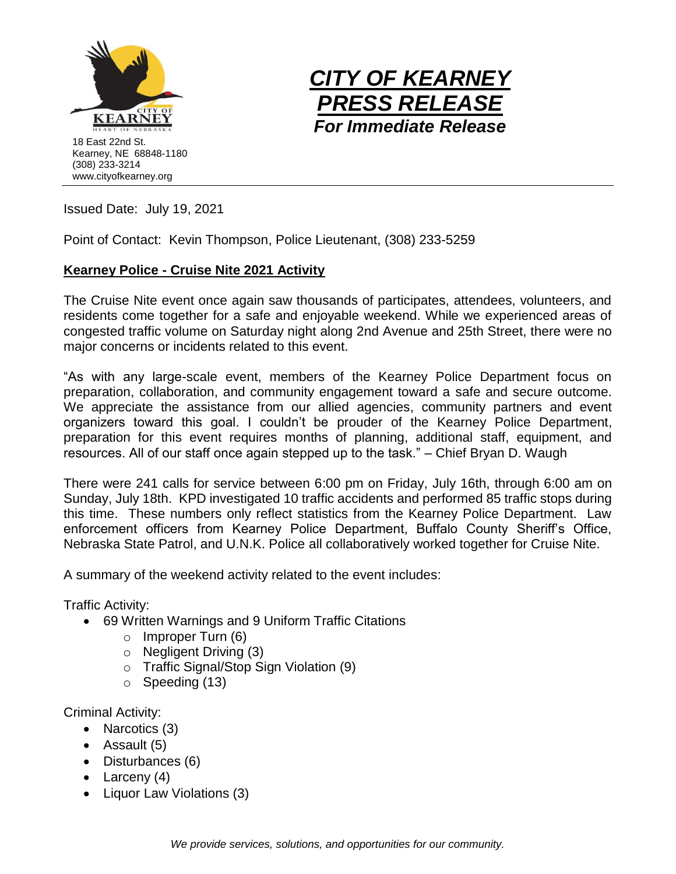



Issued Date: July 19, 2021

Point of Contact: Kevin Thompson, Police Lieutenant, (308) 233-5259

## **Kearney Police - Cruise Nite 2021 Activity**

The Cruise Nite event once again saw thousands of participates, attendees, volunteers, and residents come together for a safe and enjoyable weekend. While we experienced areas of congested traffic volume on Saturday night along 2nd Avenue and 25th Street, there were no major concerns or incidents related to this event.

"As with any large-scale event, members of the Kearney Police Department focus on preparation, collaboration, and community engagement toward a safe and secure outcome. We appreciate the assistance from our allied agencies, community partners and event organizers toward this goal. I couldn't be prouder of the Kearney Police Department, preparation for this event requires months of planning, additional staff, equipment, and resources. All of our staff once again stepped up to the task." – Chief Bryan D. Waugh

There were 241 calls for service between 6:00 pm on Friday, July 16th, through 6:00 am on Sunday, July 18th. KPD investigated 10 traffic accidents and performed 85 traffic stops during this time. These numbers only reflect statistics from the Kearney Police Department. Law enforcement officers from Kearney Police Department, Buffalo County Sheriff's Office, Nebraska State Patrol, and U.N.K. Police all collaboratively worked together for Cruise Nite.

A summary of the weekend activity related to the event includes:

Traffic Activity:

- 69 Written Warnings and 9 Uniform Traffic Citations
	- o Improper Turn (6)
	- o Negligent Driving (3)
	- o Traffic Signal/Stop Sign Violation (9)
	- $\circ$  Speeding (13)

Criminal Activity:

- Narcotics (3)
- Assault (5)
- Disturbances (6)
- Larceny (4)
- Liquor Law Violations (3)